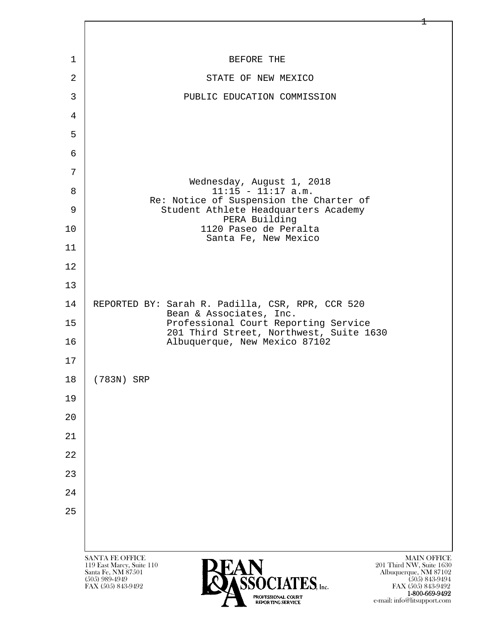

 1-800-669-9492 e-mail: info@litsupport.com

 $\pm$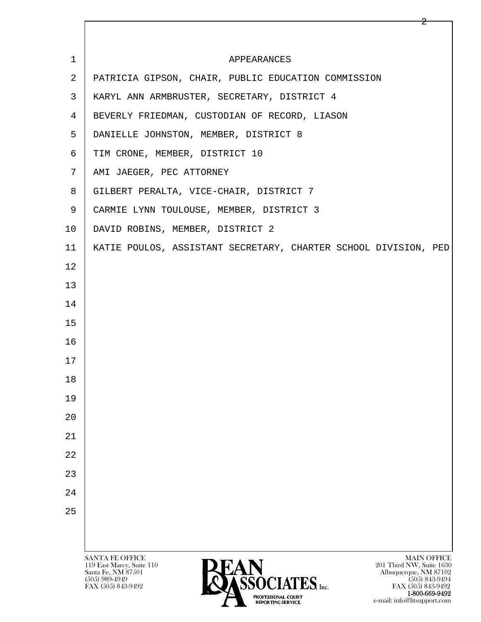| $\mathbf 1$    | APPEARANCES                                                                                                                             |
|----------------|-----------------------------------------------------------------------------------------------------------------------------------------|
| 2              | PATRICIA GIPSON, CHAIR, PUBLIC EDUCATION COMMISSION                                                                                     |
| 3              | KARYL ANN ARMBRUSTER, SECRETARY, DISTRICT 4                                                                                             |
| $\overline{4}$ | BEVERLY FRIEDMAN, CUSTODIAN OF RECORD, LIASON                                                                                           |
| 5              | DANIELLE JOHNSTON, MEMBER, DISTRICT 8                                                                                                   |
| 6              | TIM CRONE, MEMBER, DISTRICT 10                                                                                                          |
| 7              | AMI JAEGER, PEC ATTORNEY                                                                                                                |
| 8              | GILBERT PERALTA, VICE-CHAIR, DISTRICT 7                                                                                                 |
| 9              | CARMIE LYNN TOULOUSE, MEMBER, DISTRICT 3                                                                                                |
| 10             | DAVID ROBINS, MEMBER, DISTRICT 2                                                                                                        |
| 11             | KATIE POULOS, ASSISTANT SECRETARY, CHARTER SCHOOL DIVISION, PED                                                                         |
| 12             |                                                                                                                                         |
| 13             |                                                                                                                                         |
| 14             |                                                                                                                                         |
| 15             |                                                                                                                                         |
| 16             |                                                                                                                                         |
| 17             |                                                                                                                                         |
| 18             |                                                                                                                                         |
| 19             |                                                                                                                                         |
| 20             |                                                                                                                                         |
| 21             |                                                                                                                                         |
| 22             |                                                                                                                                         |
| 23             |                                                                                                                                         |
| 24             |                                                                                                                                         |
| 25             |                                                                                                                                         |
|                |                                                                                                                                         |
|                | <b>SANTA FE OFFICE</b><br><b>MAIN OFFICE</b>                                                                                            |
|                | 119 East Marcy, Suite 110<br>201 Third NW, Suite 1630<br>Santa Fe, NM 87501<br><b>LAIN</b><br>ASSOCIATES, Inc.<br>Albuquerque, NM 87102 |
|                | $(505)$ 989-4949<br>$(505)$ 843-9494<br>FAX (505) 843-9492<br>FAX (505) 843-9492                                                        |

2

**1-800-669-9492**<br> **EXALTERIONAL CN BT** e-mail: info@litsupport.com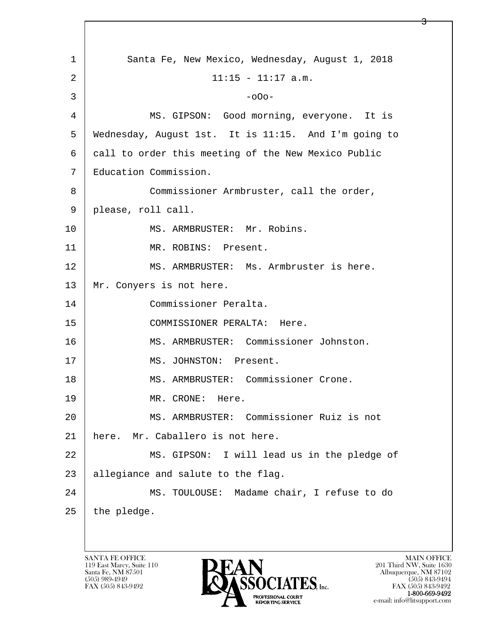l  $\overline{\phantom{a}}$ 1 Santa Fe, New Mexico, Wednesday, August 1, 2018  $2 | 11:15 - 11:17 \text{ a.m.}$  $3 \mid$  -o0o-4 MS. GIPSON: Good morning, everyone. It is 5 Wednesday, August 1st. It is 11:15. And I'm going to 6 call to order this meeting of the New Mexico Public 7 Education Commission. 8 Commissioner Armbruster, call the order, 9 please, roll call. 10 | MS. ARMBRUSTER: Mr. Robins. 11 | MR. ROBINS: Present. 12 MS. ARMBRUSTER: Ms. Armbruster is here. 13 Mr. Conyers is not here. 14 Commissioner Peralta. 15 COMMISSIONER PERALTA: Here. 16 MS. ARMBRUSTER: Commissioner Johnston. 17 | MS. JOHNSTON: Present. 18 MS. ARMBRUSTER: Commissioner Crone. 19 MR. CRONE: Here. 20 MS. ARMBRUSTER: Commissioner Ruiz is not 21 here. Mr. Caballero is not here. 22 | MS. GIPSON: I will lead us in the pledge of 23 | allegiance and salute to the flag. 24 MS. TOULOUSE: Madame chair, I refuse to do  $25$  | the pledge.

<u>3</u>

119 East Marcy, Suite 110<br>Santa Fe, NM 87501

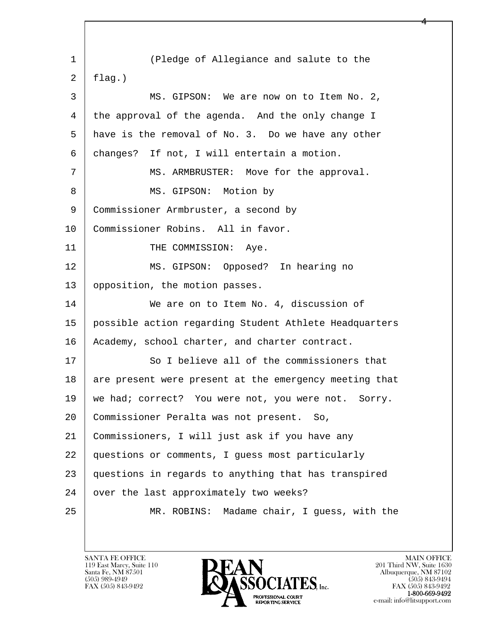l  $\overline{\phantom{a}}$ 1 (Pledge of Allegiance and salute to the  $2$  [ flag.) 3 MS. GIPSON: We are now on to Item No. 2, 4 the approval of the agenda. And the only change I 5 have is the removal of No. 3. Do we have any other 6 changes? If not, I will entertain a motion. 7 | MS. ARMBRUSTER: Move for the approval. 8 | MS. GIPSON: Motion by 9 Commissioner Armbruster, a second by 10 | Commissioner Robins. All in favor. 11 | THE COMMISSION: Aye. 12 | MS. GIPSON: Opposed? In hearing no 13 | opposition, the motion passes. 14 We are on to Item No. 4, discussion of 15 possible action regarding Student Athlete Headquarters 16 | Academy, school charter, and charter contract. 17 So I believe all of the commissioners that 18 are present were present at the emergency meeting that 19 | we had; correct? You were not, you were not. Sorry. 20 Commissioner Peralta was not present. So, 21 Commissioners, I will just ask if you have any 22 questions or comments, I guess most particularly 23 questions in regards to anything that has transpired 24 | over the last approximately two weeks? 25 MR. ROBINS: Madame chair, I guess, with the

4

119 East Marcy, Suite 110<br>Santa Fe, NM 87501

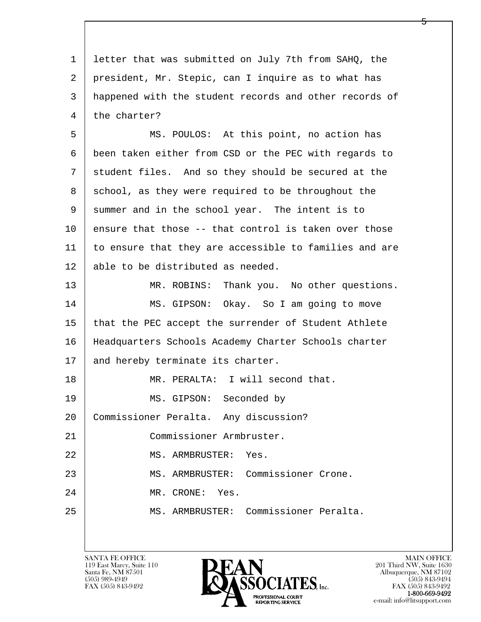l  $\overline{\phantom{a}}$ 1 letter that was submitted on July 7th from SAHQ, the 2 president, Mr. Stepic, can I inquire as to what has 3 happened with the student records and other records of 4 the charter? 5 MS. POULOS: At this point, no action has 6 been taken either from CSD or the PEC with regards to 7 | student files. And so they should be secured at the 8 | school, as they were required to be throughout the 9 summer and in the school year. The intent is to  $10$  ensure that those  $-$ - that control is taken over those 11 to ensure that they are accessible to families and are 12 able to be distributed as needed. 13 MR. ROBINS: Thank you. No other questions. 14 MS. GIPSON: Okay. So I am going to move 15 that the PEC accept the surrender of Student Athlete 16 Headquarters Schools Academy Charter Schools charter 17 | and hereby terminate its charter. 18 MR. PERALTA: I will second that. 19 MS. GIPSON: Seconded by 20 Commissioner Peralta. Any discussion? 21 | Commissioner Armbruster. 22 MS. ARMBRUSTER: Yes. 23 MS. ARMBRUSTER: Commissioner Crone. 24 MR. CRONE: Yes. 25 MS. ARMBRUSTER: Commissioner Peralta.

119 East Marcy, Suite 110<br>Santa Fe, NM 87501



FAX (505) 843-9492 FAX (505) 843-9492

5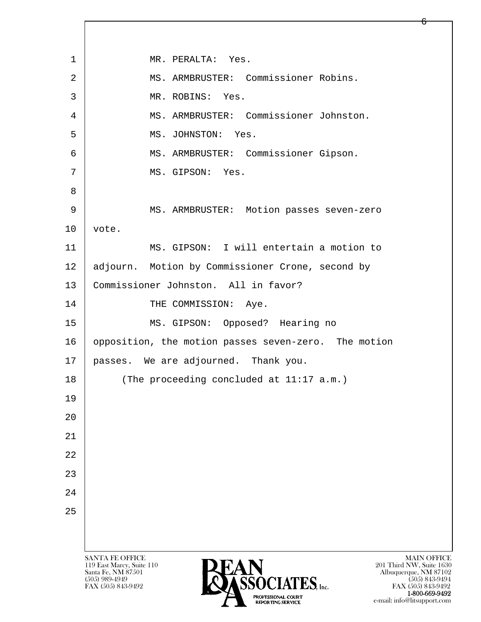l  $\overline{\phantom{a}}$ SANTA FE OFFICE MAIN OFFICE MAIN OFFICE MAIN OFFICE MAIN OFFICE 119 East Marcy, Suite 110<br>Santa Fe, NM 87501 Santa Fe, NM 87501 Albuquerque, NM 87102  $\overline{\text{S5OCIATES}}_{\text{Inc}}$  [505) 989-4949 [505] 843-9492 [505] 843-9492 [505] 843-9492 1 | MR. PERALTA: Yes. 2 | MS. ARMBRUSTER: Commissioner Robins. 3 MR. ROBINS: Yes. 4 MS. ARMBRUSTER: Commissioner Johnston. 5 MS. JOHNSTON: Yes. 6 MS. ARMBRUSTER: Commissioner Gipson. 7 | MS. GIPSON: Yes. 8 9 MS. ARMBRUSTER: Motion passes seven-zero  $10$  vote. 11 MS. GIPSON: I will entertain a motion to 12 adjourn. Motion by Commissioner Crone, second by 13 | Commissioner Johnston. All in favor? 14 THE COMMISSION: Aye. 15 MS. GIPSON: Opposed? Hearing no 16 opposition, the motion passes seven-zero. The motion 17 passes. We are adjourned. Thank you. 18 (The proceeding concluded at 11:17 a.m.) 19 20 21 22 23 24 25

FAX (505) 843-9492 FAX (505) 843-9492 1-800-669-9492 e-mail: info@litsupport.com

6